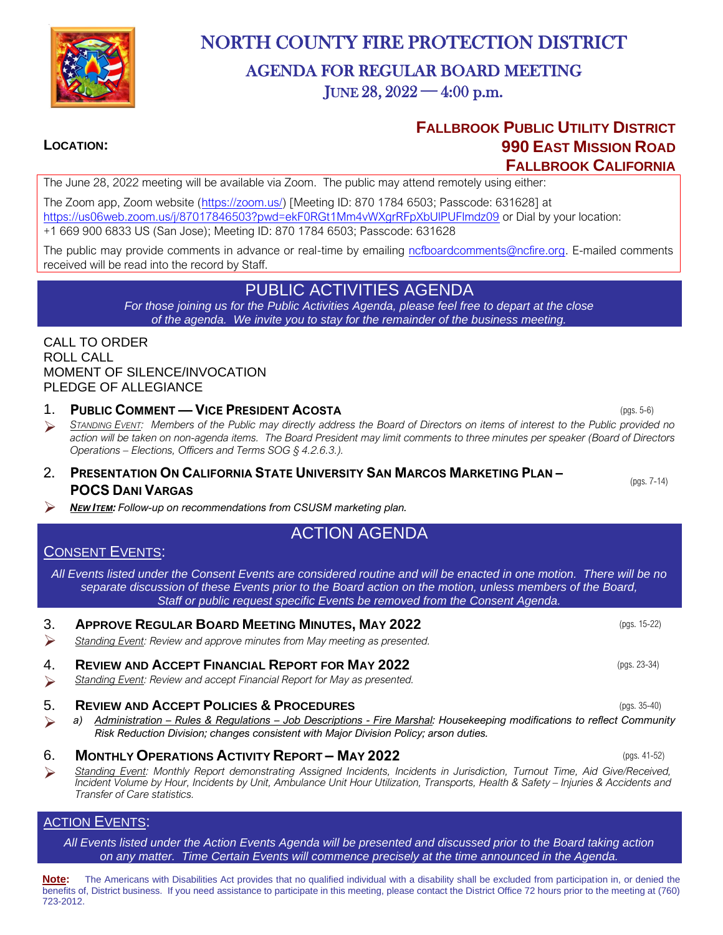

# NORTH COUNTY FIRE PROTECTION DISTRICT

# AGENDA FOR REGULAR BOARD MEETING JUNE  $28, 2022 - 4:00$  p.m.

## **FALLBROOK PUBLIC UTILITY DISTRICT LOCATION: 990 EAST MISSION ROAD FALLBROOK CALIFORNIA**

The June 28, 2022 meeting will be available via Zoom. The public may attend remotely using either:

The Zoom app, Zoom website [\(https://zoom.us/\)](https://zoom.us/) [Meeting ID: 870 1784 6503; Passcode: 631628] at https://us06web.zoom.us/j/87017846503?pwd=ekF0RGt1Mm4vWXgrRFpXbUIPUFlmdz09 or Dial by your location: +1 669 900 6833 US (San Jose); Meeting ID: 870 1784 6503; Passcode: 631628

The public may provide comments in advance or real-time by emailing [ncfboardcomments@ncfire.org.](mailto:ncfboardcomments@ncfire.org) E-mailed comments received will be read into the record by Staff.

## PUBLIC ACTIVITIES AGENDA

*For those joining us for the Public Activities Agenda, please feel free to depart at the close of the agenda. We invite you to stay for the remainder of the business meeting.*

#### CALL TO ORDER ROLL CALL MOMENT OF SILENCE/INVOCATION PLEDGE OF ALLEGIANCE

- 1. **PUBLIC COMMENT — VICE PRESIDENT ACOSTA** (pgs. 5-6)
- ➢ *<sup>S</sup>TANDING EVENT: Members of the Public may directly address the Board of Directors on items of interest to the Public provided no action will be taken on non-agenda items. The Board President may limit comments to three minutes per speaker (Board of Directors Operations – Elections, Officers and Terms SOG § 4.2.6.3.).*
- 2. **PRESENTATION ON CALIFORNIA STATE UNIVERSITY SAN MARCOS MARKETING PLAN – POCS DANI VARGAS**
- ➢ *<sup>N</sup>EW ITEM: Follow-up on recommendations from CSUSM marketing plan.*

# ACTION AGENDA

## CONSENT EVENTS:

*All Events listed under the Consent Events are considered routine and will be enacted in one motion. There will be no separate discussion of these Events prior to the Board action on the motion, unless members of the Board, Staff or public request specific Events be removed from the Consent Agenda.*

## 3. **APPROVE REGULAR BOARD MEETING MINUTES, MAY 2022** (pgs. 15-22) ➢ *Standing Event: Review and approve minutes from May meeting as presented.* 4. **REVIEW AND ACCEPT FINANCIAL REPORT FOR MAY 2022** (pgs. 23-34) ➢ *Standing Event: Review and accept Financial Report for May as presented.*

#### 5. **REVIEW AND ACCEPT POLICIES & PROCEDURES** (pgs. 35-40)

➢ *a) Administration – Rules & Regulations – Job Descriptions - Fire Marshal: Housekeeping modifications to reflect Community Risk Reduction Division; changes consistent with Major Division Policy; arson duties.*

#### 6. **MONTHLY OPERATIONS ACTIVITY REPORT – MAY 2022** (pgs. 41-52)

➢ *Standing Event: Monthly Report demonstrating Assigned Incidents, Incidents in Jurisdiction, Turnout Time, Aid Give/Received, Incident Volume by Hour, Incidents by Unit, Ambulance Unit Hour Utilization, Transports, Health & Safety – Injuries & Accidents and Transfer of Care statistics.* 

### **ACTION EVENTS:**

*All Events listed under the Action Events Agenda will be presented and discussed prior to the Board taking action on any matter. Time Certain Events will commence precisely at the time announced in the Agenda.*

**Note:** The Americans with Disabilities Act provides that no qualified individual with a disability shall be excluded from participation in, or denied the benefits of, District business. If you need assistance to participate in this meeting, please contact the District Office 72 hours prior to the meeting at (760) 723-2012.

(pgs. 7-14)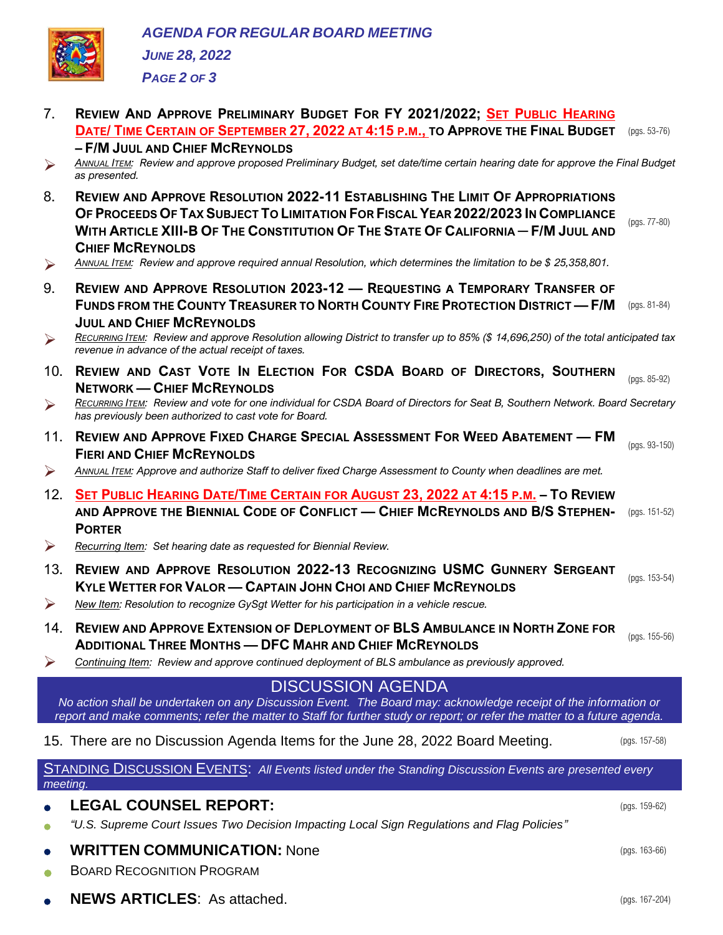

*PAGE 2 OF 3*

7. **REVIEW AND APPROVE PRELIMINARY BUDGET FOR FY 2021/2022; SET PUBLIC HEARING DATE/ TIME CERTAIN OF SEPTEMBER 27, 2022 AT 4:15 P.M., TO APPROVE THE FINAL BUDGET** (pgs. 53-76) **– F/M JUUL AND CHIEF MCREYNOLDS**  ➢ *<sup>A</sup>NNUAL ITEM: Review and approve proposed Preliminary Budget, set date/time certain hearing date for approve the Final Budget as presented.* 8. **REVIEW AND APPROVE RESOLUTION 2022-11 ESTABLISHING THE LIMIT OF APPROPRIATIONS**  OF PROCEEDS OF TAX SUBJECT TO LIMITATION FOR FISCAL YEAR 2022/2023 IN COMPLIANCE WITH ARTICLE XIII-B OF THE CONSTITUTION OF THE STATE OF CALIFORNIA - F/M JUUL AND **CHIEF MCREYNOLDS** (pgs. 77-80) ➢ *<sup>A</sup>NNUAL ITEM: Review and approve required annual Resolution, which determines the limitation to be \$ 25,358,801.* 9. **REVIEW AND APPROVE RESOLUTION 2023-12 — REQUESTING A TEMPORARY TRANSFER OF FUNDS FROM THE COUNTY TREASURER TO NORTH COUNTY FIRE PROTECTION DISTRICT — F/M** (pgs. 81-84) **JUUL AND CHIEF MCREYNOLDS** ➢ *<sup>R</sup>ECURRING ITEM: Review and approve Resolution allowing District to transfer up to 85% (\$ 14,696,250) of the total anticipated tax revenue in advance of the actual receipt of taxes.* 10. **REVIEW AND CAST VOTE IN ELECTION FOR CSDA BOARD OF DIRECTORS, SOUTHERN NETWORK — CHIEF MCREYNOLDS** (pgs. 85-92) ➢ *<sup>R</sup>ECURRING ITEM: Review and vote for one individual for CSDA Board of Directors for Seat B, Southern Network. Board Secretary has previously been authorized to cast vote for Board.*  11. **REVIEW AND APPROVE FIXED CHARGE SPECIAL ASSESSMENT FOR WEED ABATEMENT — FM FIERI AND CHIEF MCREYNOLDS** (pgs. 93-150) ➢ *<sup>A</sup>NNUAL ITEM: Approve and authorize Staff to deliver fixed Charge Assessment to County when deadlines are met.*  12. SET PUBLIC HEARING DATE/TIME CERTAIN FOR AUGUST 23. 2022 AT 4:15 P.M. - TO REVIEW AND APPROVE THE BIENNIAL CODE OF CONFLICT — CHIEF MCREYNOLDS AND B/S STEPHEN- (pgs. 151-52) **PORTER**  ➢ *Recurring Item: Set hearing date as requested for Biennial Review.*  13. **REVIEW AND APPROVE RESOLUTION 2022-13 RECOGNIZING USMC GUNNERY SERGEANT KYLE WETTER FOR VALOR — CAPTAIN JOHN CHOI AND CHIEF MCREYNOLDS** (pgs. 153-54) ➢ *New Item: Resolution to recognize GySgt Wetter for his participation in a vehicle rescue.*  14. **REVIEW AND APPROVE EXTENSION OF DEPLOYMENT OF BLS AMBULANCE IN NORTH ZONE FOR ADDITIONAL THREE MONTHS — DFC MAHR AND CHIEF MCREYNOLDS**  (pgs. 155-56) ➢ *Continuing Item: Review and approve continued deployment of BLS ambulance as previously approved.*  DISCUSSION AGENDA *No action shall be undertaken on any Discussion Event. The Board may: acknowledge receipt of the information or report and make comments; refer the matter to Staff for further study or report; or refer the matter to a future agenda.* 15. There are no Discussion Agenda Items for the June 28, 2022 Board Meeting. (pgs. 157-58) STANDING DISCUSSION EVENTS: *All Events listed under the Standing Discussion Events are presented every meeting.* • **LEGAL COUNSEL REPORT:** (pgs. 159-62) • *"U.S. Supreme Court Issues Two Decision Impacting Local Sign Regulations and Flag Policies"* • **WRITTEN COMMUNICATION:** None (pgs. 163-66) **BOARD RECOGNITION PROGRAM** • **NEWS ARTICLES**: As attached. (pgs. 167-204)